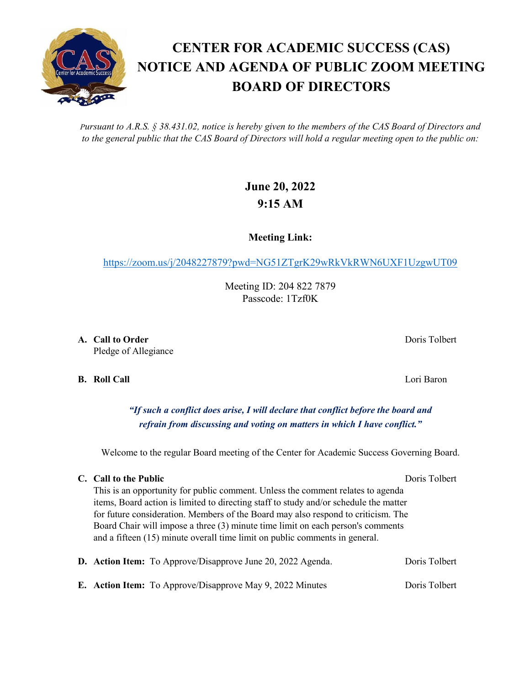*Pursuant to A.R.S. § 38.431.02, notice is hereby given to the members of the CAS Board of Directors and to the general public that the CAS Board of Directors will hold a regular meeting open to the public on:*

## **June 20, 2022 9:15 AM**

**Meeting Link:**

<https://zoom.us/j/2048227879?pwd=NG51ZTgrK29wRkVkRWN6UXF1UzgwUT09>

Meeting ID: 204 822 7879 Passcode: 1Tzf0K

**A. Call to Order** Doris Tolbert **Domain Community** Doris Tolbert **Doris Tolbert** Pledge of Allegiance

**B. Roll Call** Lori Baron

*"If such a conflict does arise, I will declare that conflict before the board and refrain from discussing and voting on matters in which I have conflict."*

Welcome to the regular Board meeting of the Center for Academic Success Governing Board.

## **C. Call to the Public** Doris Tolbert Doris Tolbert

This is an opportunity for public comment. Unless the comment relates to agenda items, Board action is limited to directing staff to study and/or schedule the matter for future consideration. Members of the Board may also respond to criticism. The Board Chair will impose a three (3) minute time limit on each person's comments and a fifteen (15) minute overall time limit on public comments in general.

|  | D. Action Item: To Approve/Disapprove June 20, 2022 Agenda.      | Doris Tolbert |
|--|------------------------------------------------------------------|---------------|
|  | <b>E.</b> Action Item: To Approve/Disapprove May 9, 2022 Minutes | Doris Tolbert |

**BOARD OF DIRECTORS**

**CENTER FOR ACADEMIC SUCCESS (CAS)**